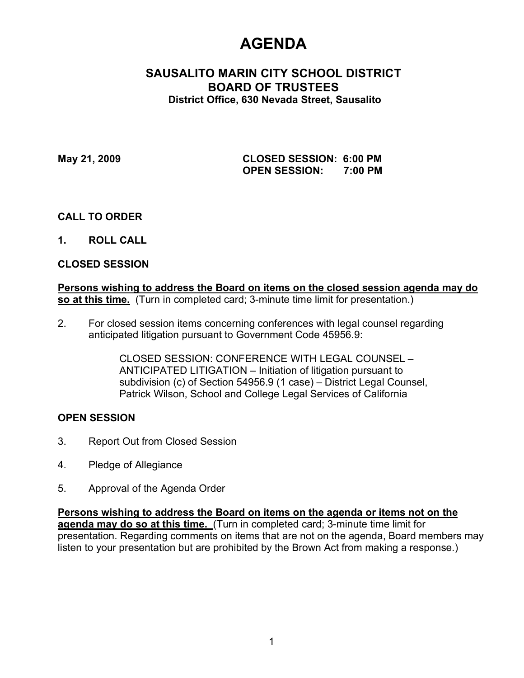# **AGENDA**

# **SAUSALITO MARIN CITY SCHOOL DISTRICT BOARD OF TRUSTEES District Office, 630 Nevada Street, Sausalito**

**May 21, 2009 CLOSED SESSION: 6:00 PM OPEN SESSION: 7:00 PM**

# **CALL TO ORDER**

**1. ROLL CALL**

# **CLOSED SESSION**

**Persons wishing to address the Board on items on the closed session agenda may do so at this time.** (Turn in completed card; 3-minute time limit for presentation.)

2. For closed session items concerning conferences with legal counsel regarding anticipated litigation pursuant to Government Code 45956.9:

> CLOSED SESSION: CONFERENCE WITH LEGAL COUNSEL – ANTICIPATED LITIGATION – Initiation of litigation pursuant to subdivision (c) of Section 54956.9 (1 case) – District Legal Counsel, Patrick Wilson, School and College Legal Services of California

# **OPEN SESSION**

- 3. Report Out from Closed Session
- 4. Pledge of Allegiance
- 5. Approval of the Agenda Order

**Persons wishing to address the Board on items on the agenda or items not on the agenda may do so at this time.** (Turn in completed card; 3-minute time limit for presentation. Regarding comments on items that are not on the agenda, Board members may listen to your presentation but are prohibited by the Brown Act from making a response.)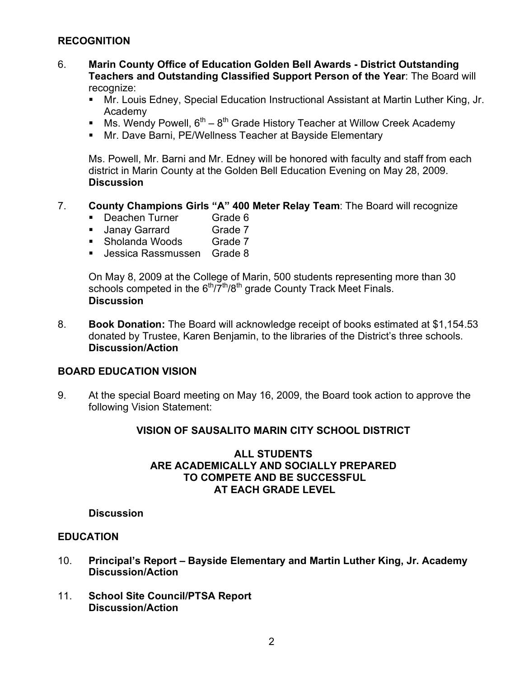# **RECOGNITION**

- 6. **Marin County Office of Education Golden Bell Awards - District Outstanding Teachers and Outstanding Classified Support Person of the Year**: The Board will recognize:
	- Mr. Louis Edney, Special Education Instructional Assistant at Martin Luther King, Jr. Academy
	- Ms. Wendy Powell,  $6^{th} 8^{th}$  Grade History Teacher at Willow Creek Academy
	- Mr. Dave Barni, PE/Wellness Teacher at Bayside Elementary

Ms. Powell, Mr. Barni and Mr. Edney will be honored with faculty and staff from each district in Marin County at the Golden Bell Education Evening on May 28, 2009. **Discussion**

### 7. **County Champions Girls "A" 400 Meter Relay Team**: The Board will recognize

- Deachen Turner Grade 6
- Janay Garrard Grade 7
- Sholanda Woods Grade 7
- Jessica Rassmussen Grade 8

On May 8, 2009 at the College of Marin, 500 students representing more than 30 schools competed in the  $6<sup>th</sup>/7<sup>th</sup>/8<sup>th</sup>$  grade County Track Meet Finals. **Discussion**

8. **Book Donation:** The Board will acknowledge receipt of books estimated at \$1,154.53 donated by Trustee, Karen Benjamin, to the libraries of the District's three schools. **Discussion/Action**

#### **BOARD EDUCATION VISION**

9. At the special Board meeting on May 16, 2009, the Board took action to approve the following Vision Statement:

# **VISION OF SAUSALITO MARIN CITY SCHOOL DISTRICT**

### **ALL STUDENTS ARE ACADEMICALLY AND SOCIALLY PREPARED TO COMPETE AND BE SUCCESSFUL AT EACH GRADE LEVEL**

#### **Discussion**

### **EDUCATION**

- 10. **Principal's Report Bayside Elementary and Martin Luther King, Jr. Academy Discussion/Action**
- 11. **School Site Council/PTSA Report Discussion/Action**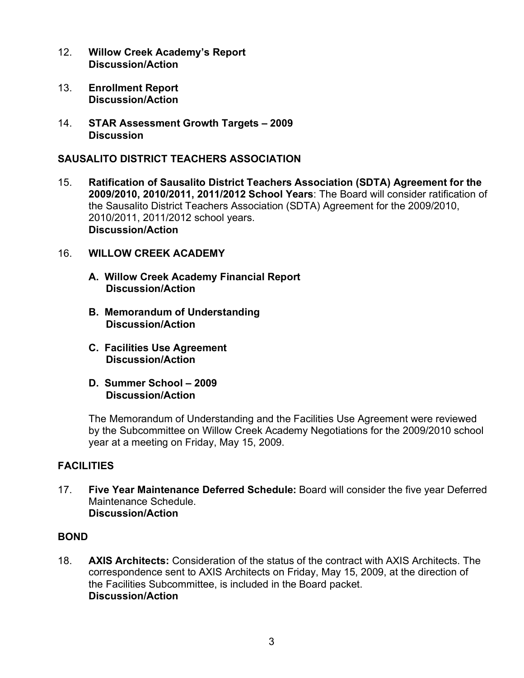- 12. **Willow Creek Academy's Report Discussion/Action**
- 13. **Enrollment Report Discussion/Action**
- 14. **STAR Assessment Growth Targets 2009 Discussion**

# **SAUSALITO DISTRICT TEACHERS ASSOCIATION**

15. **Ratification of Sausalito District Teachers Association (SDTA) Agreement for the 2009/2010, 2010/2011, 2011/2012 School Years**: The Board will consider ratification of the Sausalito District Teachers Association (SDTA) Agreement for the 2009/2010, 2010/2011, 2011/2012 school years. **Discussion/Action** 

# 16. **WILLOW CREEK ACADEMY**

- **A. Willow Creek Academy Financial Report Discussion/Action**
- **B. Memorandum of Understanding Discussion/Action**
- **C. Facilities Use Agreement Discussion/Action**
- **D. Summer School 2009 Discussion/Action**

The Memorandum of Understanding and the Facilities Use Agreement were reviewed by the Subcommittee on Willow Creek Academy Negotiations for the 2009/2010 school year at a meeting on Friday, May 15, 2009.

# **FACILITIES**

17. **Five Year Maintenance Deferred Schedule:** Board will consider the five year Deferred Maintenance Schedule. **Discussion/Action**

# **BOND**

18. **AXIS Architects:** Consideration of the status of the contract with AXIS Architects. The correspondence sent to AXIS Architects on Friday, May 15, 2009, at the direction of the Facilities Subcommittee, is included in the Board packet. **Discussion/Action**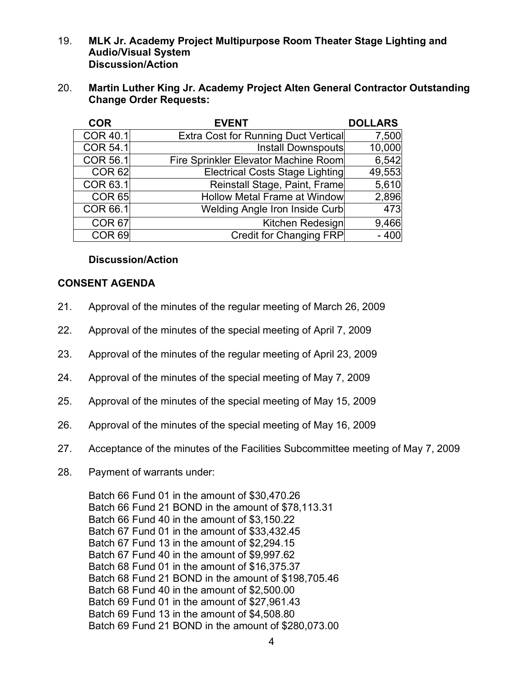- 19. **MLK Jr. Academy Project Multipurpose Room Theater Stage Lighting and Audio/Visual System Discussion/Action**
- 20. **Martin Luther King Jr. Academy Project Alten General Contractor Outstanding Change Order Requests:**

| <b>COR</b>        | <b>EVENT</b>                         | <b>DOLLARS</b> |
|-------------------|--------------------------------------|----------------|
| <b>COR 40.1</b>   | Extra Cost for Running Duct Vertical | 7,500          |
| <b>COR 54.1</b>   | Install Downspouts                   | 10,000         |
| COR 56.1          | Fire Sprinkler Elevator Machine Room | 6,542          |
| <b>COR 62</b>     | Electrical Costs Stage Lighting      | 49,553         |
| COR 63.1          | Reinstall Stage, Paint, Frame        | 5,610          |
| <b>COR 65</b>     | <b>Hollow Metal Frame at Window</b>  | 2,896          |
| COR 66.1          | Welding Angle Iron Inside Curb       | 473            |
| <b>COR 67</b>     | Kitchen Redesign                     | 9,466          |
| COR <sub>69</sub> | <b>Credit for Changing FRP</b>       | $-400$         |

# **Discussion/Action**

# **CONSENT AGENDA**

- 21. Approval of the minutes of the regular meeting of March 26, 2009
- 22. Approval of the minutes of the special meeting of April 7, 2009
- 23. Approval of the minutes of the regular meeting of April 23, 2009
- 24. Approval of the minutes of the special meeting of May 7, 2009
- 25. Approval of the minutes of the special meeting of May 15, 2009
- 26. Approval of the minutes of the special meeting of May 16, 2009
- 27. Acceptance of the minutes of the Facilities Subcommittee meeting of May 7, 2009
- 28. Payment of warrants under:

Batch 66 Fund 01 in the amount of \$30,470.26 Batch 66 Fund 21 BOND in the amount of \$78,113.31 Batch 66 Fund 40 in the amount of \$3,150.22 Batch 67 Fund 01 in the amount of \$33,432.45 Batch 67 Fund 13 in the amount of \$2,294.15 Batch 67 Fund 40 in the amount of \$9,997.62 Batch 68 Fund 01 in the amount of \$16,375.37 Batch 68 Fund 21 BOND in the amount of \$198,705.46 Batch 68 Fund 40 in the amount of \$2,500.00 Batch 69 Fund 01 in the amount of \$27,961.43 Batch 69 Fund 13 in the amount of \$4,508.80 Batch 69 Fund 21 BOND in the amount of \$280,073.00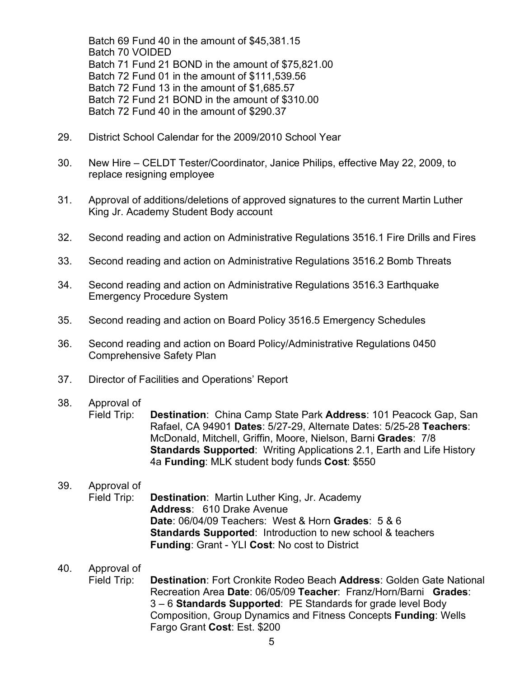Batch 69 Fund 40 in the amount of \$45,381.15 Batch 70 VOIDED Batch 71 Fund 21 BOND in the amount of \$75,821.00 Batch 72 Fund 01 in the amount of \$111,539.56 Batch 72 Fund 13 in the amount of \$1,685.57 Batch 72 Fund 21 BOND in the amount of \$310.00 Batch 72 Fund 40 in the amount of \$290.37

- 29. District School Calendar for the 2009/2010 School Year
- 30. New Hire CELDT Tester/Coordinator, Janice Philips, effective May 22, 2009, to replace resigning employee
- 31. Approval of additions/deletions of approved signatures to the current Martin Luther King Jr. Academy Student Body account
- 32. Second reading and action on Administrative Regulations 3516.1 Fire Drills and Fires
- 33. Second reading and action on Administrative Regulations 3516.2 Bomb Threats
- 34. Second reading and action on Administrative Regulations 3516.3 Earthquake Emergency Procedure System
- 35. Second reading and action on Board Policy 3516.5 Emergency Schedules
- 36. Second reading and action on Board Policy/Administrative Regulations 0450 Comprehensive Safety Plan
- 37. Director of Facilities and Operations' Report

# 38. Approval of

Field Trip: **Destination**: China Camp State Park **Address**: 101 Peacock Gap, San Rafael, CA 94901 **Dates**: 5/27-29, Alternate Dates: 5/25-28 **Teachers**: McDonald, Mitchell, Griffin, Moore, Nielson, Barni **Grades**: 7/8 **Standards Supported**: Writing Applications 2.1, Earth and Life History 4a **Funding**: MLK student body funds **Cost**: \$550

# 39. Approval of

Field Trip: **Destination**: Martin Luther King, Jr. Academy **Address**: 610 Drake Avenue **Date**: 06/04/09 Teachers: West & Horn **Grades**: 5 & 6 **Standards Supported**: Introduction to new school & teachers **Funding**: Grant - YLI **Cost**: No cost to District

# 40. Approval of

Field Trip: **Destination**: Fort Cronkite Rodeo Beach **Address**: Golden Gate National Recreation Area **Date**: 06/05/09 **Teacher**: Franz/Horn/Barni **Grades**: 3 – 6 **Standards Supported**: PE Standards for grade level Body Composition, Group Dynamics and Fitness Concepts **Funding**: Wells Fargo Grant **Cost**: Est. \$200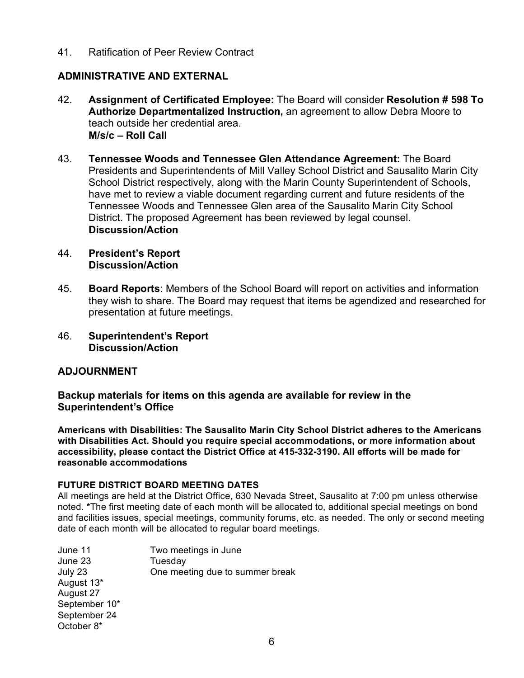41. Ratification of Peer Review Contract

# **ADMINISTRATIVE AND EXTERNAL**

- 42. **Assignment of Certificated Employee:** The Board will consider **Resolution # 598 To Authorize Departmentalized Instruction,** an agreement to allow Debra Moore to teach outside her credential area. **M/s/c – Roll Call**
- 43. **Tennessee Woods and Tennessee Glen Attendance Agreement:** The Board Presidents and Superintendents of Mill Valley School District and Sausalito Marin City School District respectively, along with the Marin County Superintendent of Schools, have met to review a viable document regarding current and future residents of the Tennessee Woods and Tennessee Glen area of the Sausalito Marin City School District. The proposed Agreement has been reviewed by legal counsel. **Discussion/Action**
- 44. **President's Report Discussion/Action**
- 45. **Board Reports**: Members of the School Board will report on activities and information they wish to share. The Board may request that items be agendized and researched for presentation at future meetings.
- 46. **Superintendent's Report Discussion/Action**

# **ADJOURNMENT**

**Backup materials for items on this agenda are available for review in the Superintendent's Office**

**Americans with Disabilities: The Sausalito Marin City School District adheres to the Americans with Disabilities Act. Should you require special accommodations, or more information about accessibility, please contact the District Office at 415-332-3190. All efforts will be made for reasonable accommodations**

#### **FUTURE DISTRICT BOARD MEETING DATES**

All meetings are held at the District Office, 630 Nevada Street, Sausalito at 7:00 pm unless otherwise noted. **\***The first meeting date of each month will be allocated to, additional special meetings on bond and facilities issues, special meetings, community forums, etc. as needed. The only or second meeting date of each month will be allocated to regular board meetings.

| June 11       | Two meetings in June            |
|---------------|---------------------------------|
| June 23       | Tuesday                         |
| July 23       | One meeting due to summer break |
| August 13*    |                                 |
| August 27     |                                 |
| September 10* |                                 |
| September 24  |                                 |
| October 8*    |                                 |